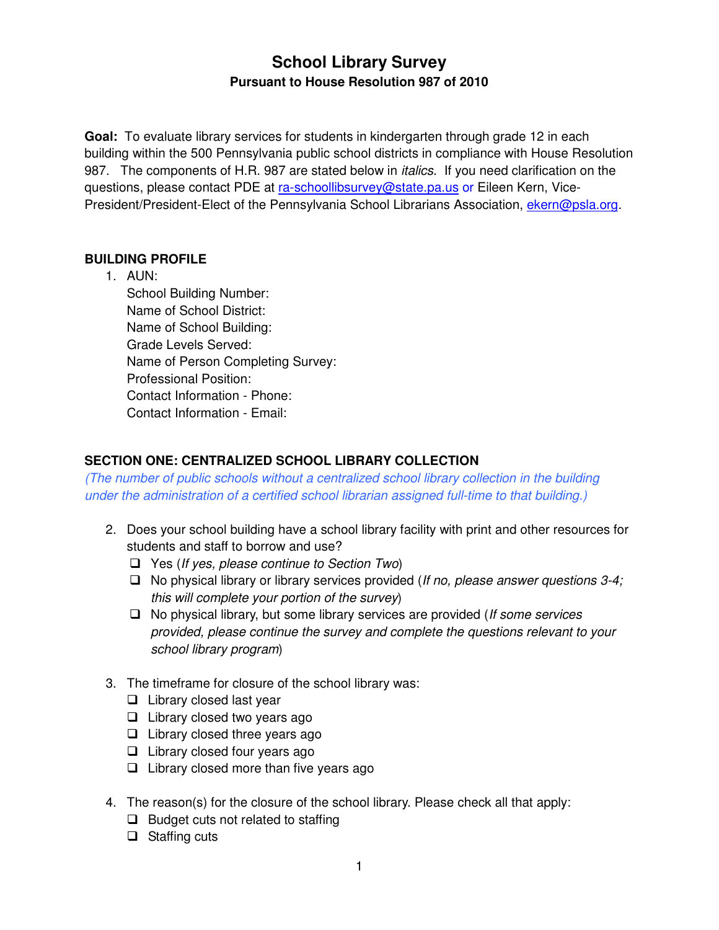# **School Library Survey Pursuant to House Resolution 987 of 2010**

 **Goal:** To evaluate library services for students in kindergarten through grade 12 in each building within the 500 Pennsylvania public school districts in compliance with House Resolution 987. The components of H.R. 987 are stated below in *italics*. If you need clarification on the questions, please contact PDE at <u>ra-schoollibsurvey@state.pa.us</u> or Eileen Kern, Vice-President/President-Elect of the Pennsylvania School Librarians Association, ekern@psla.org.

## **BUILDING PROFILE**

 1. AUN: School Building Number: Name of School District: Name of School Building: Grade Levels Served: Name of Person Completing Survey: Professional Position: Contact Information - Phone: Contact Information - Email:

## **SECTION ONE: CENTRALIZED SCHOOL LIBRARY COLLECTION**

 (The number of public schools without a centralized school library collection in the building under the administration of a certified school librarian assigned full-time to that building.)

- 2. Does your school building have a school library facility with print and other resources for students and staff to borrow and use?
	- $\Box$  Yes (If yes, please continue to Section Two)
	- $\Box$  No physical library or library services provided (If no, please answer questions 3-4; this will complete your portion of the survey)
	- $\Box$  No physical library, but some library services are provided (If some services provided, please continue the survey and complete the questions relevant to your school library program)
- 3. The timeframe for closure of the school library was:
	- D Library closed last year
	- D Library closed two years ago
	- $\Box$  Library closed three years ago
	- $\Box$  Library closed four years ago
	- $\Box$  Library closed more than five years ago
- 4. The reason(s) for the closure of the school library. Please check all that apply:
	- D Budget cuts not related to staffing
	- □ Staffing cuts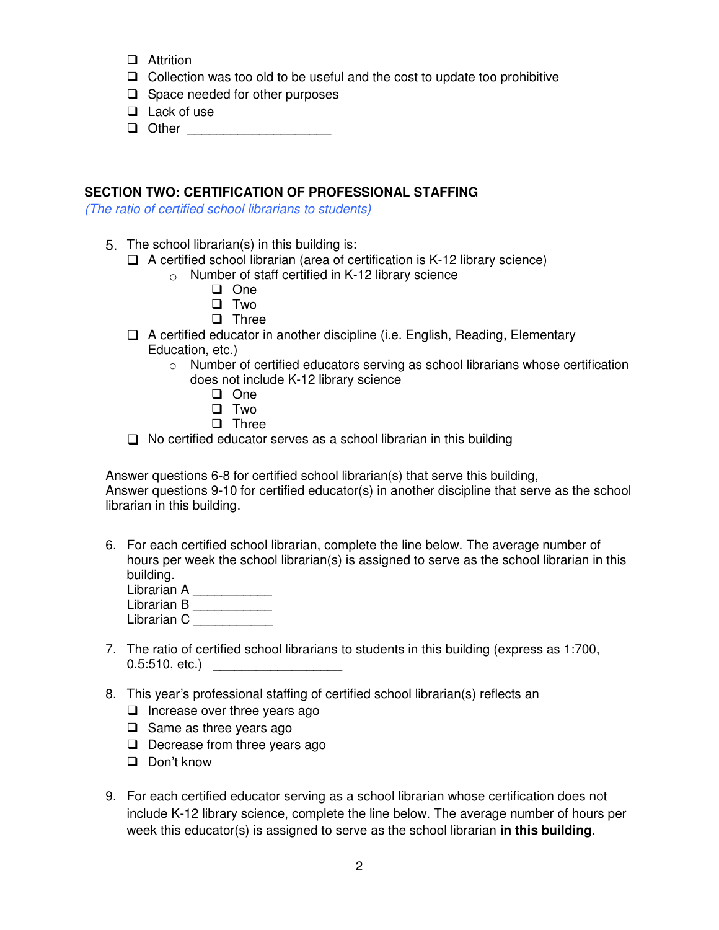- **D** Attrition
- $\Box$  Collection was too old to be useful and the cost to update too prohibitive
- □ Space needed for other purposes
- **Q** Lack of use
- **Q** Other \_\_\_\_\_\_\_\_\_\_\_\_\_\_\_\_\_\_\_\_\_\_\_

## **SECTION TWO: CERTIFICATION OF PROFESSIONAL STAFFING**

(The ratio of certified school librarians to students)

- 5. The school librarian(s) in this building is:
	- $\Box$  A certified school librarian (area of certification is K-12 library science)
		- $\circ$  Number of staff certified in K-12 library science
			- D One
			- D Two
			- **D** Three
	- □ A certified educator in another discipline (i.e. English, Reading, Elementary Education, etc.)
		- $\circ$  Number of certified educators serving as school librarians whose certification does not include K-12 library science
			- D One
			- D Two
			- **D** Three
	- $\Box$  No certified educator serves as a school librarian in this building

 Answer questions 6-8 for certified school librarian(s) that serve this building, Answer questions 9-10 for certified educator(s) in another discipline that serve as the school librarian in this building.

- 6. For each certified school librarian, complete the line below. The average number of hours per week the school librarian(s) is assigned to serve as the school librarian in this building.
	- Librarian A \_\_\_\_\_\_\_\_\_\_\_\_\_ Librarian B \_\_\_\_\_\_\_\_\_\_\_
	- Librarian C \_\_\_\_\_\_\_\_\_\_\_
- 7. The ratio of certified school librarians to students in this building (express as 1:700, 0.5:510, etc.) \_\_\_\_\_\_\_\_\_\_\_\_\_\_\_\_\_\_\_\_\_\_\_
- 8. This year's professional staffing of certified school librarian(s) reflects an
	- $\Box$  Increase over three years ago
	- $\Box$  Same as three years ago
	- $\Box$  Decrease from three years ago
	- D Don't know
- 9. For each certified educator serving as a school librarian whose certification does not include K-12 library science, complete the line below. The average number of hours per week this educator(s) is assigned to serve as the school librarian **in this building**.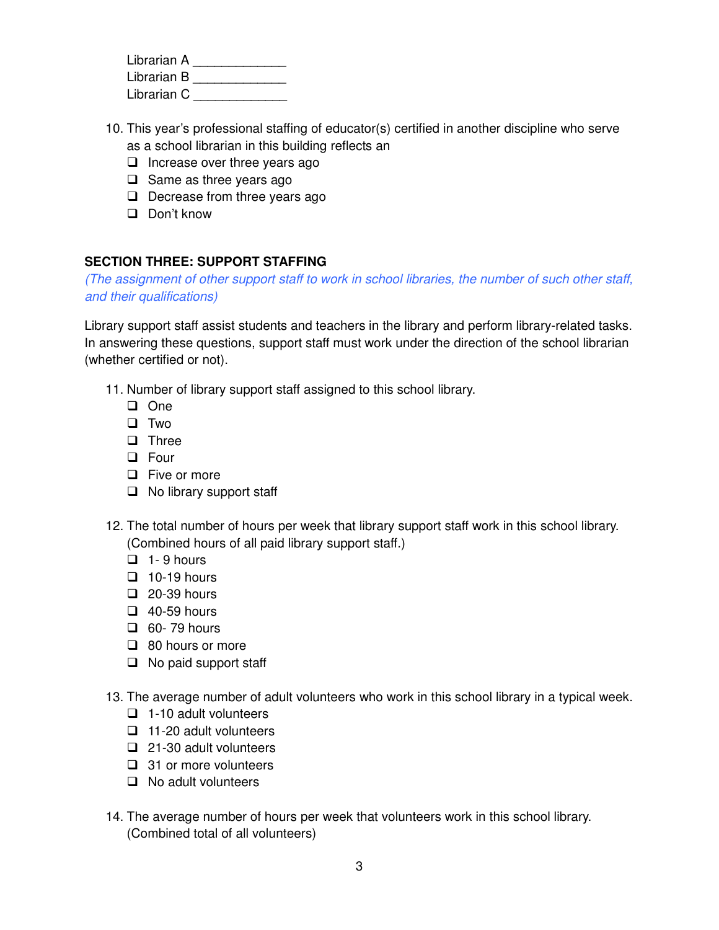Librarian A \_\_\_\_\_\_\_\_\_\_\_\_\_\_\_ Librarian B \_\_\_\_\_\_\_\_\_\_\_\_\_\_\_ Librarian C \_\_\_\_\_\_\_\_\_\_\_\_\_\_\_

- 10. This year's professional staffing of educator(s) certified in another discipline who serve as a school librarian in this building reflects an
	- □ Increase over three years ago
	- $\Box$  Same as three years ago
	- $\Box$  Decrease from three years ago
	- D Don't know

## **SECTION THREE: SUPPORT STAFFING**

 (The assignment of other support staff to work in school libraries, the number of such other staff, and their qualifications)

 Library support staff assist students and teachers in the library and perform library-related tasks. In answering these questions, support staff must work under the direction of the school librarian (whether certified or not).

- 11. Number of library support staff assigned to this school library.
	- D One
	- D Two
	- **D** Three
	- D Four
	- **D** Five or more
	- □ No library support staff
- 12. The total number of hours per week that library support staff work in this school library. (Combined hours of all paid library support staff.)
	- $\Box$  1-9 hours
	- $\Box$  10-19 hours
	- $\Box$  20-39 hours
	- $\Box$  40-59 hours
	- $\Box$  60-79 hours
	- □ 80 hours or more
	- $\Box$  No paid support staff
- 13. The average number of adult volunteers who work in this school library in a typical week.
	- $\Box$  1-10 adult volunteers
	- $\Box$  11-20 adult volunteers
	- $\Box$  21-30 adult volunteers
	- $\Box$  31 or more volunteers
	- □ No adult volunteers
- 14. The average number of hours per week that volunteers work in this school library. (Combined total of all volunteers)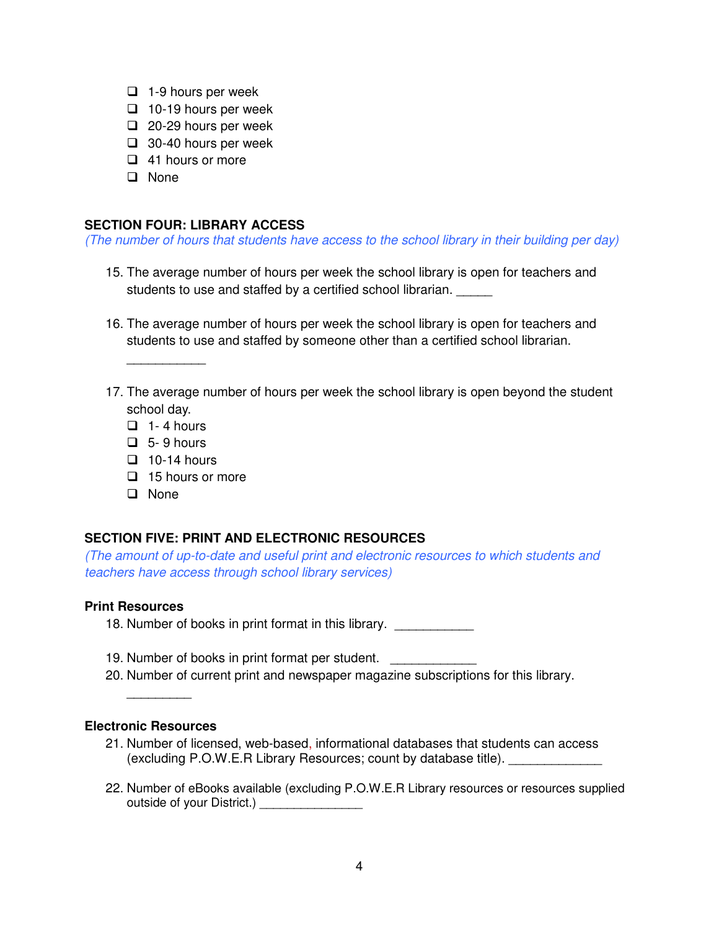- □ 1-9 hours per week
- □ 10-19 hours per week
- 20-29 hours per week
- □ 30-40 hours per week
- □ 41 hours or more
- **D** None

## **SECTION FOUR: LIBRARY ACCESS**

(The number of hours that students have access to the school library in their building per day)

- 15. The average number of hours per week the school library is open for teachers and students to use and staffed by a certified school librarian. \_\_\_\_\_\_
- 16. The average number of hours per week the school library is open for teachers and students to use and staffed by someone other than a certified school librarian.
- 17. The average number of hours per week the school library is open beyond the student school day.
	- $\Box$  1-4 hours

\_\_\_\_\_\_\_\_\_\_\_

- $\Box$  5-9 hours
- $\Box$  10-14 hours
- $\Box$  15 hours or more
- **D** None

## **SECTION FIVE: PRINT AND ELECTRONIC RESOURCES**

 (The amount of up-to-date and useful print and electronic resources to which students and teachers have access through school library services)

#### **Print Resources**

18. Number of books in print format in this library. \_\_\_\_\_\_\_\_\_\_\_

- 19. Number of books in print format per student. \_\_\_\_\_\_\_\_\_\_\_\_\_\_
- 20. Number of current print and newspaper magazine subscriptions for this library.

## **Electronic Resources**

 $\overline{\phantom{a}}$ 

- 21. Number of licensed, web-based, informational databases that students can access (excluding P.O.W.E.R Library Resources; count by database title). \_\_\_\_\_\_\_\_\_\_\_\_\_
- 22. Number of eBooks available (excluding P.O.W.E.R Library resources or resources supplied outside of your District.) \_\_\_\_\_\_\_\_\_\_\_\_\_\_\_\_\_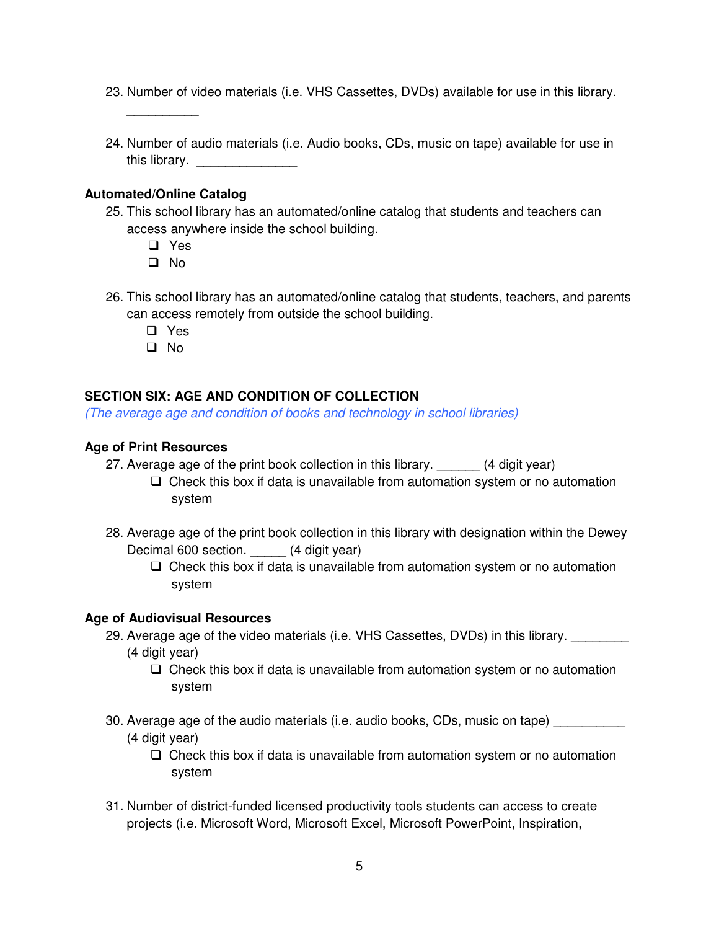- 23. Number of video materials (i.e. VHS Cassettes, DVDs) available for use in this library.
- 24. Number of audio materials (i.e. Audio books, CDs, music on tape) available for use in this library. \_\_\_\_\_\_\_\_\_\_\_\_\_\_\_\_\_\_

#### **Automated/Online Catalog**

 $\overline{\phantom{a}}$ 

- 25. This school library has an automated/online catalog that students and teachers can access anywhere inside the school building.
	- D Yes
	- D No
- 26. This school library has an automated/online catalog that students, teachers, and parents can access remotely from outside the school building.
	- D Yes
	- D No

## **SECTION SIX: AGE AND CONDITION OF COLLECTION**

(The average age and condition of books and technology in school libraries)

#### **Age of Print Resources**

- 27. Average age of the print book collection in this library. \_\_\_\_\_\_ (4 digit year)
	- $\Box$  Check this box if data is unavailable from automation system or no automation system
- 28. Average age of the print book collection in this library with designation within the Dewey Decimal 600 section. \_\_\_\_\_ (4 digit year)
	- $\Box$  Check this box if data is unavailable from automation system or no automation system

## **Age of Audiovisual Resources**

- 29. Average age of the video materials (i.e. VHS Cassettes, DVDs) in this library. \_\_\_\_\_\_\_\_\_
	- (4 digit year)
		- $\Box$  Check this box if data is unavailable from automation system or no automation system
- 30. Average age of the audio materials (i.e. audio books, CDs, music on tape) \_\_\_\_\_\_\_\_\_ (4 digit year)
	- $\Box$  Check this box if data is unavailable from automation system or no automation system
- 31. Number of district-funded licensed productivity tools students can access to create projects (i.e. Microsoft Word, Microsoft Excel, Microsoft PowerPoint, Inspiration,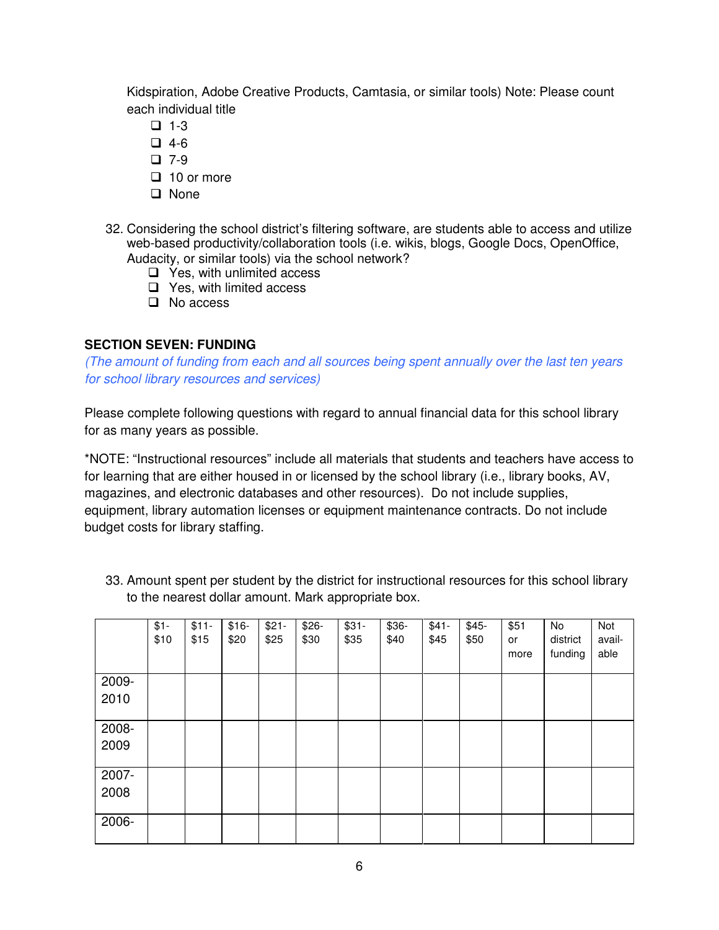Kidspiration, Adobe Creative Products, Camtasia, or similar tools) Note: Please count each individual title

- $\Box$  1-3
- $\Box$  4-6
- $\Box$  7-9
- $\Box$  10 or more
- □ None
- 32. Considering the school district's filtering software, are students able to access and utilize web-based productivity/collaboration tools (i.e. wikis, blogs, Google Docs, OpenOffice, Audacity, or similar tools) via the school network?
	- $\Box$  Yes, with unlimited access
	- □ Yes, with limited access
	- D No access

## **SECTION SEVEN: FUNDING**

 (The amount of funding from each and all sources being spent annually over the last ten years for school library resources and services)

 Please complete following questions with regard to annual financial data for this school library for as many years as possible.

 \*NOTE: "Instructional resources" include all materials that students and teachers have access to for learning that are either housed in or licensed by the school library (i.e., library books, AV, magazines, and electronic databases and other resources). Do not include supplies, equipment, library automation licenses or equipment maintenance contracts. Do not include budget costs for library staffing.

 33. Amount spent per student by the district for instructional resources for this school library to the nearest dollar amount. Mark appropriate box.

|               | $$1 -$<br>\$10 | $$11-$<br>\$15 | $$16-$<br>\$20 | $$21-$<br>\$25 | $$26-$<br>\$30 | $$31-$<br>\$35 | \$36-<br>\$40 | $$41-$<br>\$45 | $$45-$<br>\$50 | \$51<br>or<br>more | No<br>district<br>funding | Not<br>avail-<br>able |
|---------------|----------------|----------------|----------------|----------------|----------------|----------------|---------------|----------------|----------------|--------------------|---------------------------|-----------------------|
| 2009-<br>2010 |                |                |                |                |                |                |               |                |                |                    |                           |                       |
| 2008-<br>2009 |                |                |                |                |                |                |               |                |                |                    |                           |                       |
| 2007-<br>2008 |                |                |                |                |                |                |               |                |                |                    |                           |                       |
| 2006-         |                |                |                |                |                |                |               |                |                |                    |                           |                       |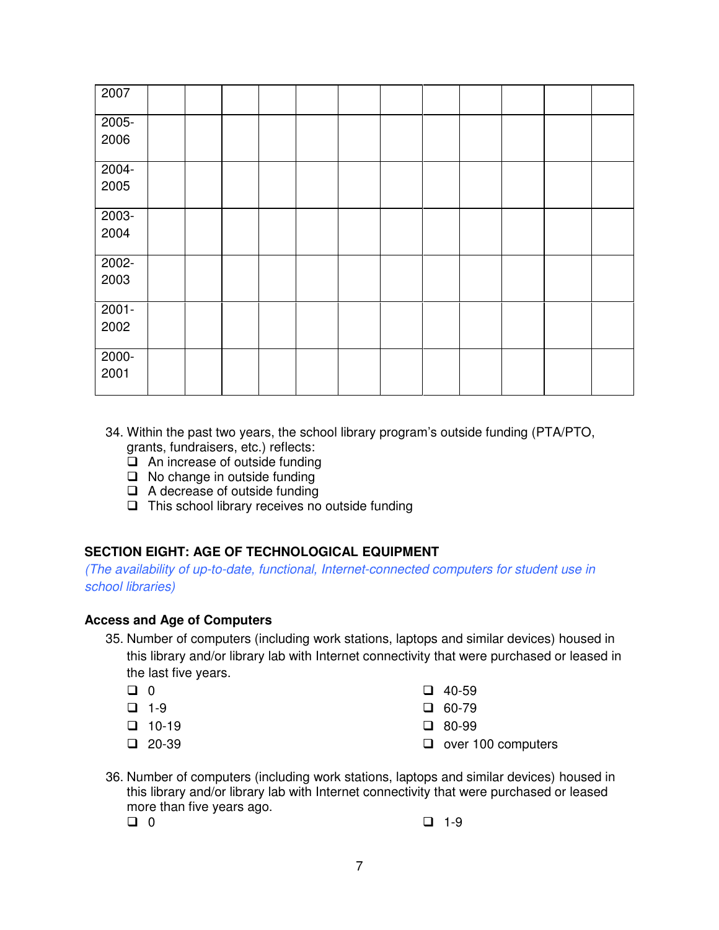| 2007     |  |  |  |  |  |  |
|----------|--|--|--|--|--|--|
| 2005-    |  |  |  |  |  |  |
| 2006     |  |  |  |  |  |  |
| $2004 -$ |  |  |  |  |  |  |
| 2005     |  |  |  |  |  |  |
| $2003 -$ |  |  |  |  |  |  |
| 2004     |  |  |  |  |  |  |
| 2002-    |  |  |  |  |  |  |
| 2003     |  |  |  |  |  |  |
| $2001 -$ |  |  |  |  |  |  |
| 2002     |  |  |  |  |  |  |
| $2000 -$ |  |  |  |  |  |  |
| 2001     |  |  |  |  |  |  |

- 34. Within the past two years, the school library program's outside funding (PTA/PTO, grants, fundraisers, etc.) reflects:
	- $\Box$  An increase of outside funding
	- $\Box$  No change in outside funding
	- $\Box$  A decrease of outside funding
	- $\Box$  This school library receives no outside funding

## **SECTION EIGHT: AGE OF TECHNOLOGICAL EQUIPMENT**

 (The availability of up-to-date, functional, Internet-connected computers for student use in school libraries)

## **Access and Age of Computers**

- 35. Number of computers (including work stations, laptops and similar devices) housed in this library and/or library lab with Internet connectivity that were purchased or leased in the last five years.
	- $\Box$  0
	- $\Box$  1-9
	- $\Box$  10-19  $\Box$  80-99
	- $\Box$  20-39
	- $\Box$  0  $\Box$  40-59
	- $\Box$  1-9  $\Box$  60-79
		- $\Box$  80-99
	- D 20-39 D over 100 computers
- 36. Number of computers (including work stations, laptops and similar devices) housed in this library and/or library lab with Internet connectivity that were purchased or leased more than five years ago.  $\Box$  0 D 1-9
	- $\Box$  0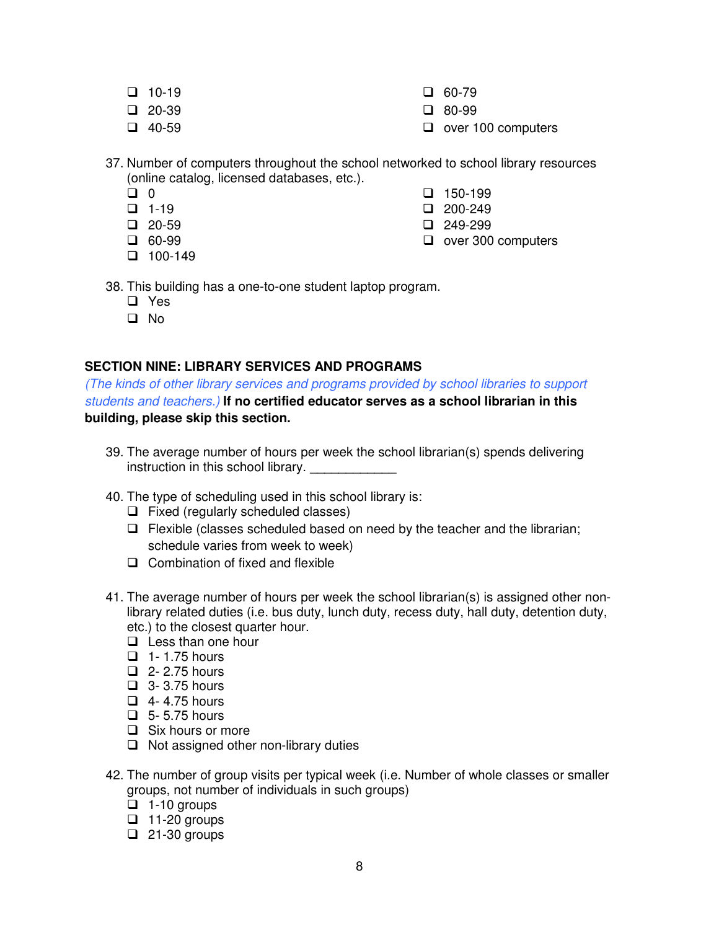- $\Box$  10-19
- $\Box$  20-39
- $\Box$  40-59
- $\Box$  10-19  $\Box$  60-79
- $\Box$  20-39  $\Box$  80-99
- D 40-59 D over 100 computers
- 37. Number of computers throughout the school networked to school library resources (online catalog, licensed databases, etc.).
	- $\Box$  0
	- $\Box$  0 D 150-199
	- $\Box$  1-19  $\Box$  1-19  $\Box$  200-249
	- $\Box$  20-59  $\Box$  20-59  $\Box$  249-299
	- $\Box$  60-99
	- $\Box$  100-149
	- D 60-99 D over 300 computers
- 38. This building has a one-to-one student laptop program.
	- D Yes
	- D No

## **SECTION NINE: LIBRARY SERVICES AND PROGRAMS**

 (The kinds of other library services and programs provided by school libraries to support students and teachers.) **If no certified educator serves as a school librarian in this building, please skip this section.** 

- 39. The average number of hours per week the school librarian(s) spends delivering instruction in this school library. \_\_\_\_\_\_\_\_\_\_\_\_\_\_
- 40. The type of scheduling used in this school library is:
	- $\Box$  Fixed (regularly scheduled classes)
	- $\Box$  Flexible (classes scheduled based on need by the teacher and the librarian; schedule varies from week to week)
	- $\Box$  Combination of fixed and flexible
- 41. The average number of hours per week the school librarian(s) is assigned other non- library related duties (i.e. bus duty, lunch duty, recess duty, hall duty, detention duty, etc.) to the closest quarter hour.
	- $\Box$  Less than one hour
	- $\Box$  1- 1.75 hours
	- $\Box$  2- 2.75 hours
	- $\Box$  3- 3.75 hours
	- $\Box$  4-4.75 hours
	- $\Box$  5- 5.75 hours
	- □ Six hours or more
	- □ Not assigned other non-library duties
- 42. The number of group visits per typical week (i.e. Number of whole classes or smaller groups, not number of individuals in such groups)
	- $\overline{a}$  1-10 groups
	- $\Box$  11-20 groups
	- $\Box$  21-30 groups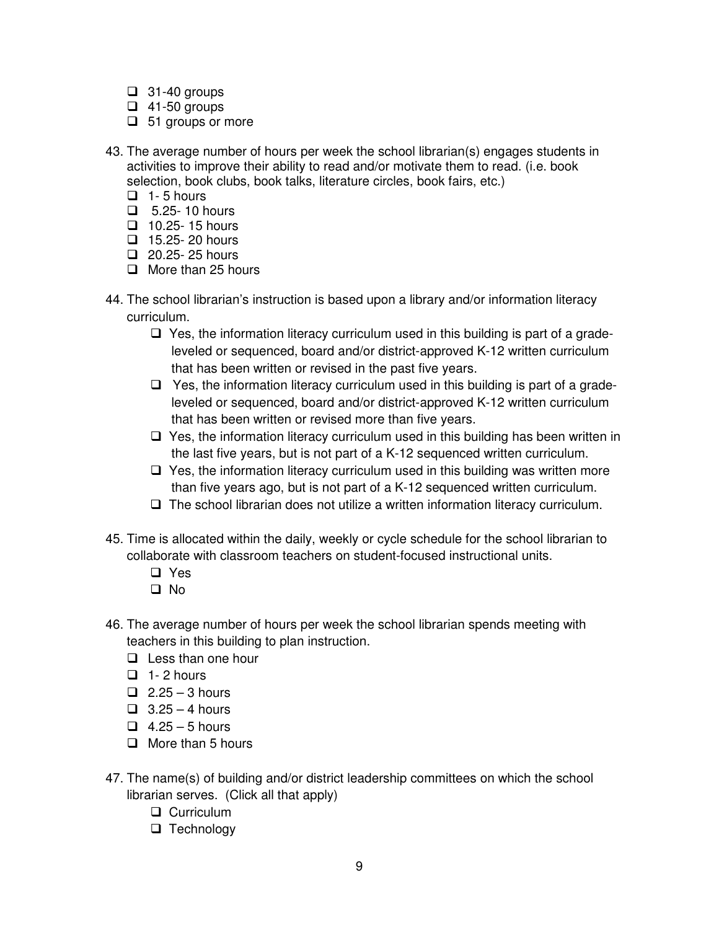- $\Box$  31-40 groups
- $\Box$  41-50 groups
- $\Box$  51 groups or more
- 43. The average number of hours per week the school librarian(s) engages students in activities to improve their ability to read and/or motivate them to read. (i.e. book selection, book clubs, book talks, literature circles, book fairs, etc.)
	- $\Box$  1-5 hours
	- $\Box$  5.25- 10 hours
	- $\Box$  10.25- 15 hours
	- $\Box$  15.25- 20 hours
	- $\Box$  20.25-25 hours
	- O More than 25 hours
- 44. The school librarian's instruction is based upon a library and/or information literacy curriculum.
	- $\Box$  Yes, the information literacy curriculum used in this building is part of a grade- leveled or sequenced, board and/or district-approved K-12 written curriculum that has been written or revised in the past five years.
	- $\Box$  Yes, the information literacy curriculum used in this building is part of a grade- leveled or sequenced, board and/or district-approved K-12 written curriculum that has been written or revised more than five years.
	- $\Box$  Yes, the information literacy curriculum used in this building has been written in the last five years, but is not part of a K-12 sequenced written curriculum.
	- $\Box$  Yes, the information literacy curriculum used in this building was written more than five years ago, but is not part of a K-12 sequenced written curriculum.
	- □ The school librarian does not utilize a written information literacy curriculum.
- 45. Time is allocated within the daily, weekly or cycle schedule for the school librarian to collaborate with classroom teachers on student-focused instructional units.
	- D Yes
	- D No
- 46. The average number of hours per week the school librarian spends meeting with teachers in this building to plan instruction.
	- **Q** Less than one hour
	- $\Box$  1-2 hours
	- $\Box$  2.25 3 hours
	- $\Box$  3.25 4 hours
	- $\Box$  4.25 5 hours
	- $\Box$  More than 5 hours
- 47. The name(s) of building and/or district leadership committees on which the school librarian serves. (Click all that apply)
	- **Q** Curriculum
	- $\Box$  Technology